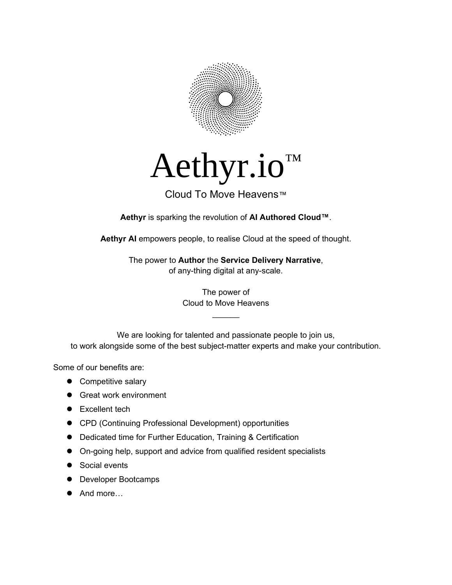

# Aethyr.io™

#### Cloud To Move Heavens™

**Aethyr** is sparking the revolution of **AI Authored Cloud™**.

**Aethyr AI** empowers people, to realise Cloud at the speed of thought.

The power to **Author** the **Service Delivery Narrative**, of any-thing digital at any-scale.

> The power of Cloud to Move Heavens

> > $\mathcal{L}$

We are looking for talented and passionate people to join us, to work alongside some of the best subject-matter experts and make your contribution.

Some of our benefits are:

- Competitive salary
- **•** Great work environment
- Excellent tech
- CPD (Continuing Professional Development) opportunities
- Dedicated time for Further Education, Training & Certification
- On-going help, support and advice from qualified resident specialists
- Social events
- Developer Bootcamps
- And more…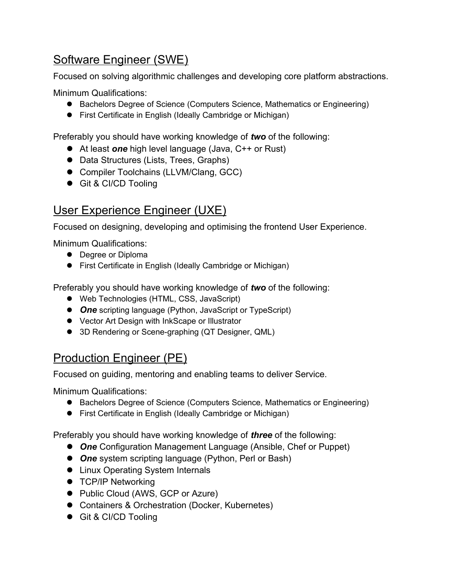### Software Engineer (SWE)

Focused on solving algorithmic challenges and developing core platform abstractions.

Minimum Qualifications:

- Bachelors Degree of Science (Computers Science, Mathematics or Engineering)
- First Certificate in English (Ideally Cambridge or Michigan)

Preferably you should have working knowledge of *two* of the following:

- At least **one** high level language (Java, C++ or Rust)
- Data Structures (Lists, Trees, Graphs)
- Compiler Toolchains (LLVM/Clang, GCC)
- Git & CI/CD Tooling

# User Experience Engineer (UXE)

Focused on designing, developing and optimising the frontend User Experience.

Minimum Qualifications:

- Degree or Diploma
- First Certificate in English (Ideally Cambridge or Michigan)

Preferably you should have working knowledge of *two* of the following:

- Web Technologies (HTML, CSS, JavaScript)
- *One* scripting language (Python, JavaScript or TypeScript)
- Vector Art Design with InkScape or Illustrator
- 3D Rendering or Scene-graphing (QT Designer, QML)

#### Production Engineer (PE)

Focused on guiding, mentoring and enabling teams to deliver Service.

Minimum Qualifications:

- Bachelors Degree of Science (Computers Science, Mathematics or Engineering)
- First Certificate in English (Ideally Cambridge or Michigan)

Preferably you should have working knowledge of *three* of the following:

- *One* Configuration Management Language (Ansible, Chef or Puppet)
- *One* system scripting language (Python, Perl or Bash)
- Linux Operating System Internals
- **TCP/IP Networking**
- Public Cloud (AWS, GCP or Azure)
- Containers & Orchestration (Docker, Kubernetes)
- Git & CI/CD Tooling